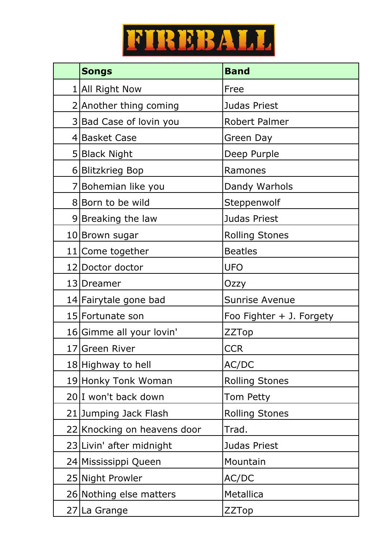

| <b>Songs</b>                | <b>Band</b>              |
|-----------------------------|--------------------------|
| 1 All Right Now             | Free                     |
| 2 Another thing coming      | Judas Priest             |
| 3 Bad Case of lovin you     | Robert Palmer            |
| 4 Basket Case               | Green Day                |
| 5 Black Night               | Deep Purple              |
| 6 Blitzkrieg Bop            | Ramones                  |
| 7 Bohemian like you         | Dandy Warhols            |
| 8 Born to be wild           | Steppenwolf              |
| 9 Breaking the law          | Judas Priest             |
| 10 Brown sugar              | <b>Rolling Stones</b>    |
| 11 Come together            | <b>Beatles</b>           |
| 12 Doctor doctor            | <b>UFO</b>               |
| 13   Dreamer                | Ozzy                     |
| 14 Fairytale gone bad       | Sunrise Avenue           |
| 15 Fortunate son            | Foo Fighter + J. Forgety |
| 16 Gimme all your lovin'    | <b>ZZTop</b>             |
| 17 Green River              | <b>CCR</b>               |
| 18 Highway to hell          | AC/DC                    |
| 19 Honky Tonk Woman         | <b>Rolling Stones</b>    |
| 20 I won't back down        | Tom Petty                |
| 21 Jumping Jack Flash       | <b>Rolling Stones</b>    |
| 22 Knocking on heavens door | Trad.                    |
| 23 Livin' after midnight    | Judas Priest             |
| 24 Mississippi Queen        | Mountain                 |
| 25 Night Prowler            | AC/DC                    |
| 26 Nothing else matters     | Metallica                |
| 27 La Grange                | ZZTop                    |